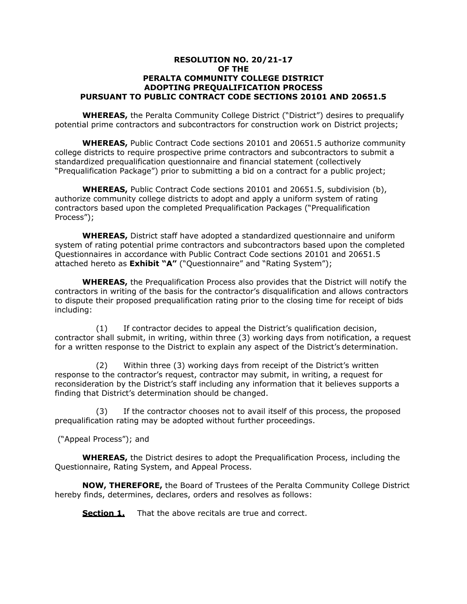### **RESOLUTION NO. 20/21-17 OF THE PERALTA COMMUNITY COLLEGE DISTRICT ADOPTING PREQUALIFICATION PROCESS PURSUANT TO PUBLIC CONTRACT CODE SECTIONS 20101 AND 20651.5**

**WHEREAS,** the Peralta Community College District ("District") desires to prequalify potential prime contractors and subcontractors for construction work on District projects;

**WHEREAS,** Public Contract Code sections 20101 and 20651.5 authorize community college districts to require prospective prime contractors and subcontractors to submit a standardized prequalification questionnaire and financial statement (collectively "Prequalification Package") prior to submitting a bid on a contract for a public project;

**WHEREAS,** Public Contract Code sections 20101 and 20651.5, subdivision (b), authorize community college districts to adopt and apply a uniform system of rating contractors based upon the completed Prequalification Packages ("Prequalification Process");

**WHEREAS,** District staff have adopted a standardized questionnaire and uniform system of rating potential prime contractors and subcontractors based upon the completed Questionnaires in accordance with Public Contract Code sections 20101 and 20651.5 attached hereto as **Exhibit "A"** ("Questionnaire" and "Rating System");

**WHEREAS,** the Prequalification Process also provides that the District will notify the contractors in writing of the basis for the contractor's disqualification and allows contractors to dispute their proposed prequalification rating prior to the closing time for receipt of bids including:

(1) If contractor decides to appeal the District's qualification decision, contractor shall submit, in writing, within three (3) working days from notification, a request for a written response to the District to explain any aspect of the District's determination.

(2) Within three (3) working days from receipt of the District's written response to the contractor's request, contractor may submit, in writing, a request for reconsideration by the District's staff including any information that it believes supports a finding that District's determination should be changed.

(3) If the contractor chooses not to avail itself of this process, the proposed prequalification rating may be adopted without further proceedings.

("Appeal Process"); and

**WHEREAS,** the District desires to adopt the Prequalification Process, including the Questionnaire, Rating System, and Appeal Process.

**NOW, THEREFORE,** the Board of Trustees of the Peralta Community College District hereby finds, determines, declares, orders and resolves as follows:

**Section 1.** That the above recitals are true and correct.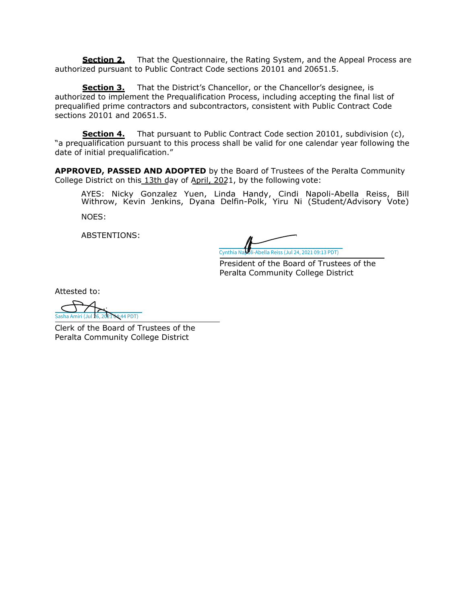**Section 2.** That the Questionnaire, the Rating System, and the Appeal Process are authorized pursuant to Public Contract Code sections 20101 and 20651.5.

**Section 3.** That the District's Chancellor, or the Chancellor's designee, is authorized to implement the Prequalification Process, including accepting the final list of prequalified prime contractors and subcontractors, consistent with Public Contract Code sections 20101 and 20651.5.

**Section 4.** That pursuant to Public Contract Code section 20101, subdivision (c), "a prequalification pursuant to this process shall be valid for one calendar year following the date of initial prequalification."

**APPROVED, PASSED AND ADOPTED** by the Board of Trustees of the Peralta Community College District on this 13th day of April, 2021, by the following vote:

AYES: Nicky Gonzalez Yuen, Linda Handy, Cindi Napoli-Abella Reiss, Bill Withrow, Kevin Jenkins, Dyana Delfin-Polk, Yiru Ni (Student/Advisory Vote) NOES:

ABSTENTIONS:

[Cynthia Napoli-Abella Reiss \(Jul 24, 2021 09:13 PDT\)](https://peralta.na2.echosign.com/verifier?tx=CBJCHBCAABAAI-NSISAXY_DvQe_-QLcX9jBTb1tt5_zJ)

President of the Board of Trustees of the Peralta Community College District

Attested to:

[Sasha Amiri \(Jul 26, 2021 04:44 PDT\)](https://peralta.na2.echosign.com/verifier?tx=CBJCHBCAABAAI-NSISAXY_DvQe_-QLcX9jBTb1tt5_zJ)

Clerk of the Board of Trustees of the Peralta Community College District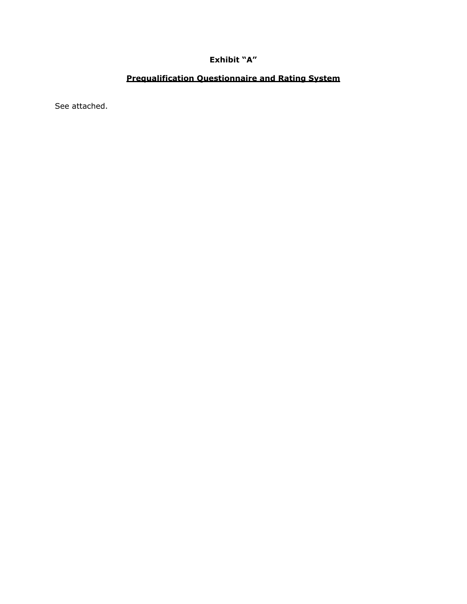## **Exhibit "A"**

# **Prequalification Questionnaire and Rating System**

See attached.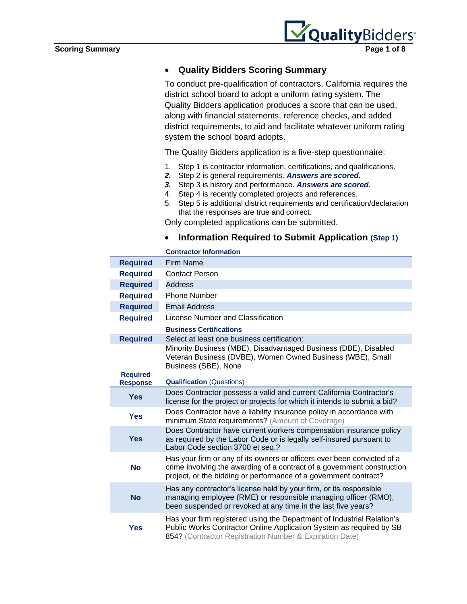

## • **Quality Bidders Scoring Summary**

To conduct pre-qualification of contractors, California requires the district school board to adopt a uniform rating system. The Quality Bidders application produces a score that can be used, along with financial statements, reference checks, and added district requirements, to aid and facilitate whatever uniform rating system the school board adopts.

The Quality Bidders application is a five-step questionnaire:

- 1. Step 1 is contractor information, certifications, and qualifications.
- *2.* Step 2 is general requirements. *Answers are scored.*
- *3.* Step 3 is history and performance. *Answers are scored.*
- 4. Step 4 is recently completed projects and references.
- 5. Step 5 is additional district requirements and certification/declaration that the responses are true and correct.

Only completed applications can be submitted.

• **Information Required to Submit Application (Step 1)**

|                                    | <b>Contractor Information</b>                                                                                                                                                                                          |
|------------------------------------|------------------------------------------------------------------------------------------------------------------------------------------------------------------------------------------------------------------------|
| <b>Required</b>                    | <b>Firm Name</b>                                                                                                                                                                                                       |
| <b>Required</b>                    | <b>Contact Person</b>                                                                                                                                                                                                  |
| <b>Required</b>                    | Address                                                                                                                                                                                                                |
| <b>Required</b>                    | <b>Phone Number</b>                                                                                                                                                                                                    |
| <b>Required</b>                    | <b>Email Address</b>                                                                                                                                                                                                   |
| <b>Required</b>                    | License Number and Classification                                                                                                                                                                                      |
|                                    | <b>Business Certifications</b>                                                                                                                                                                                         |
| <b>Required</b>                    | Select at least one business certification:                                                                                                                                                                            |
|                                    | Minority Business (MBE), Disadvantaged Business (DBE), Disabled<br>Veteran Business (DVBE), Women Owned Business (WBE), Small<br>Business (SBE), None                                                                  |
| <b>Required</b><br><b>Response</b> | <b>Qualification (Questions)</b>                                                                                                                                                                                       |
| <b>Yes</b>                         | Does Contractor possess a valid and current California Contractor's<br>license for the project or projects for which it intends to submit a bid?                                                                       |
| <b>Yes</b>                         | Does Contractor have a liability insurance policy in accordance with<br>minimum State requirements? (Amount of Coverage)                                                                                               |
| <b>Yes</b>                         | Does Contractor have current workers compensation insurance policy<br>as required by the Labor Code or is legally self-insured pursuant to<br>Labor Code section 3700 et seq.?                                         |
| <b>No</b>                          | Has your firm or any of its owners or officers ever been convicted of a<br>crime involving the awarding of a contract of a government construction<br>project, or the bidding or performance of a government contract? |
| <b>No</b>                          | Has any contractor's license held by your firm, or its responsible<br>managing employee (RME) or responsible managing officer (RMO),<br>been suspended or revoked at any time in the last five years?                  |
| <b>Yes</b>                         | Has your firm registered using the Department of Industrial Relation's<br>Public Works Contractor Online Application System as required by SB<br>854? (Contractor Registration Number & Expiration Date)               |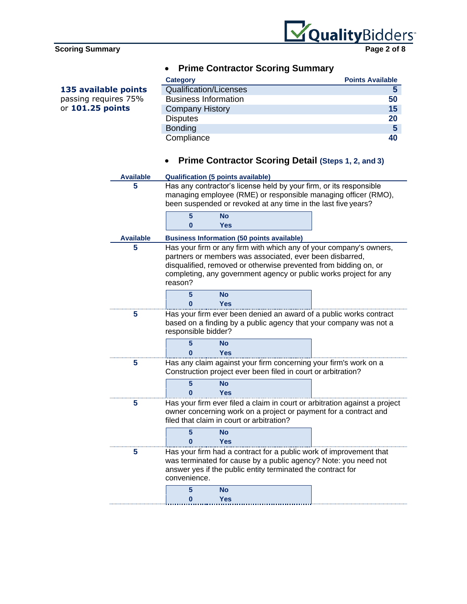

**135 available points** passing requires 75% or **101.25 points**



# • **Prime Contractor Scoring Summary**

| <b>Category</b>               | <b>Points Available</b> |
|-------------------------------|-------------------------|
| <b>Qualification/Licenses</b> |                         |
| <b>Business Information</b>   | 50                      |
| <b>Company History</b>        | 15                      |
| <b>Disputes</b>               | 20                      |
| <b>Bonding</b>                | 5                       |
| Compliance                    | 40                      |

# • **Prime Contractor Scoring Detail (Steps 1, 2, and 3)**

| <b>Available</b> | <b>Qualification (5 points available)</b>                                                                                                                                                             |                         |                                                               |                                                                                                                                                                                                             |
|------------------|-------------------------------------------------------------------------------------------------------------------------------------------------------------------------------------------------------|-------------------------|---------------------------------------------------------------|-------------------------------------------------------------------------------------------------------------------------------------------------------------------------------------------------------------|
| 5                | Has any contractor's license held by your firm, or its responsible<br>managing employee (RME) or responsible managing officer (RMO),<br>been suspended or revoked at any time in the last five years? |                         |                                                               |                                                                                                                                                                                                             |
|                  | 5<br>0                                                                                                                                                                                                | <b>No</b><br><b>Yes</b> |                                                               |                                                                                                                                                                                                             |
| <b>Available</b> |                                                                                                                                                                                                       |                         | <b>Business Information (50 points available)</b>             |                                                                                                                                                                                                             |
| 5                | reason?                                                                                                                                                                                               |                         | partners or members was associated, ever been disbarred,      | Has your firm or any firm with which any of your company's owners,<br>disqualified, removed or otherwise prevented from bidding on, or<br>completing, any government agency or public works project for any |
|                  | 5<br>Ω                                                                                                                                                                                                | <b>No</b><br><b>Yes</b> |                                                               |                                                                                                                                                                                                             |
| 5                | Has your firm ever been denied an award of a public works contract<br>based on a finding by a public agency that your company was not a<br>responsible bidder?                                        |                         |                                                               |                                                                                                                                                                                                             |
|                  | 5                                                                                                                                                                                                     | <b>No</b><br>Yes        |                                                               |                                                                                                                                                                                                             |
| 5                |                                                                                                                                                                                                       |                         | Construction project ever been filed in court or arbitration? | Has any claim against your firm concerning your firm's work on a                                                                                                                                            |
|                  | 5<br>Λ                                                                                                                                                                                                | No<br>Yes               |                                                               |                                                                                                                                                                                                             |
| 5                |                                                                                                                                                                                                       |                         | filed that claim in court or arbitration?                     | Has your firm ever filed a claim in court or arbitration against a project<br>owner concerning work on a project or payment for a contract and                                                              |
|                  | 5<br>Λ                                                                                                                                                                                                | <b>No</b><br><b>Yes</b> |                                                               |                                                                                                                                                                                                             |
| 5                | convenience.                                                                                                                                                                                          |                         | answer yes if the public entity terminated the contract for   | Has your firm had a contract for a public work of improvement that<br>was terminated for cause by a public agency? Note: you need not                                                                       |
|                  | 5<br>0                                                                                                                                                                                                | <b>No</b><br><b>Yes</b> |                                                               |                                                                                                                                                                                                             |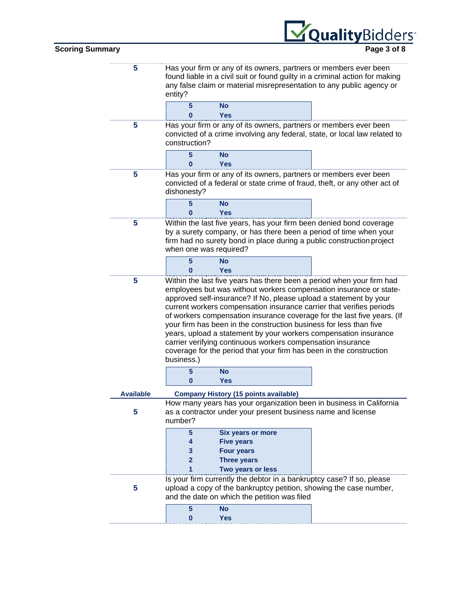|                        |                  | VoualityBidders                                                                                                                                                                                                                                                                                                                                                                                                                                                                                                                                                                                                                                                   |  |
|------------------------|------------------|-------------------------------------------------------------------------------------------------------------------------------------------------------------------------------------------------------------------------------------------------------------------------------------------------------------------------------------------------------------------------------------------------------------------------------------------------------------------------------------------------------------------------------------------------------------------------------------------------------------------------------------------------------------------|--|
| <b>Scoring Summary</b> |                  | Page 3 of 8                                                                                                                                                                                                                                                                                                                                                                                                                                                                                                                                                                                                                                                       |  |
|                        | 5                | Has your firm or any of its owners, partners or members ever been<br>found liable in a civil suit or found guilty in a criminal action for making<br>any false claim or material misrepresentation to any public agency or<br>entity?<br>5<br>No                                                                                                                                                                                                                                                                                                                                                                                                                  |  |
|                        |                  | O<br>Yes                                                                                                                                                                                                                                                                                                                                                                                                                                                                                                                                                                                                                                                          |  |
|                        | 5                | Has your firm or any of its owners, partners or members ever been<br>convicted of a crime involving any federal, state, or local law related to<br>construction?                                                                                                                                                                                                                                                                                                                                                                                                                                                                                                  |  |
|                        |                  | 5<br><b>No</b><br><b>Yes</b><br>ი                                                                                                                                                                                                                                                                                                                                                                                                                                                                                                                                                                                                                                 |  |
|                        | 5                | Has your firm or any of its owners, partners or members ever been<br>convicted of a federal or state crime of fraud, theft, or any other act of<br>dishonesty?                                                                                                                                                                                                                                                                                                                                                                                                                                                                                                    |  |
|                        |                  | 5<br><b>No</b><br><b>Yes</b><br>O                                                                                                                                                                                                                                                                                                                                                                                                                                                                                                                                                                                                                                 |  |
|                        | 5                | Within the last five years, has your firm been denied bond coverage<br>by a surety company, or has there been a period of time when your<br>firm had no surety bond in place during a public construction project<br>when one was required?                                                                                                                                                                                                                                                                                                                                                                                                                       |  |
|                        |                  | 5<br><b>No</b><br><b>Yes</b><br>ი                                                                                                                                                                                                                                                                                                                                                                                                                                                                                                                                                                                                                                 |  |
|                        | 5                | Within the last five years has there been a period when your firm had<br>employees but was without workers compensation insurance or state-<br>approved self-insurance? If No, please upload a statement by your<br>current workers compensation insurance carrier that verifies periods<br>of workers compensation insurance coverage for the last five years. (If<br>your firm has been in the construction business for less than five<br>years, upload a statement by your workers compensation insurance<br>carrier verifying continuous workers compensation insurance<br>coverage for the period that your firm has been in the construction<br>business.) |  |
|                        |                  | $5\phantom{1}$<br><b>No</b><br><b>Yes</b><br>0                                                                                                                                                                                                                                                                                                                                                                                                                                                                                                                                                                                                                    |  |
|                        | <b>Available</b> | <b>Company History (15 points available)</b>                                                                                                                                                                                                                                                                                                                                                                                                                                                                                                                                                                                                                      |  |
|                        | 5                | How many years has your organization been in business in California<br>as a contractor under your present business name and license<br>number?                                                                                                                                                                                                                                                                                                                                                                                                                                                                                                                    |  |
|                        |                  | <b>Six years or more</b><br>$5\phantom{.0}$<br><b>Five years</b><br>4                                                                                                                                                                                                                                                                                                                                                                                                                                                                                                                                                                                             |  |
|                        |                  | <b>Four years</b><br>3<br>$\overline{2}$<br><b>Three years</b><br>Two years or less                                                                                                                                                                                                                                                                                                                                                                                                                                                                                                                                                                               |  |
|                        | 5                | Is your firm currently the debtor in a bankruptcy case? If so, please<br>upload a copy of the bankruptcy petition, showing the case number,<br>and the date on which the petition was filed                                                                                                                                                                                                                                                                                                                                                                                                                                                                       |  |
|                        |                  | 5<br><b>No</b><br>0<br><b>Yes</b>                                                                                                                                                                                                                                                                                                                                                                                                                                                                                                                                                                                                                                 |  |
|                        |                  |                                                                                                                                                                                                                                                                                                                                                                                                                                                                                                                                                                                                                                                                   |  |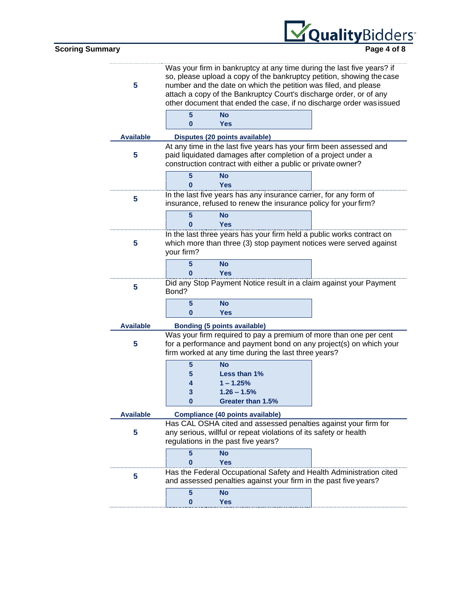

| 5                |              | Was your firm in bankruptcy at any time during the last five years? if<br>so, please upload a copy of the bankruptcy petition, showing the case<br>number and the date on which the petition was filed, and please<br>attach a copy of the Bankruptcy Court's discharge order, or of any<br>other document that ended the case, if no discharge order was issued |  |
|------------------|--------------|------------------------------------------------------------------------------------------------------------------------------------------------------------------------------------------------------------------------------------------------------------------------------------------------------------------------------------------------------------------|--|
|                  | 5            | <b>No</b>                                                                                                                                                                                                                                                                                                                                                        |  |
|                  | $\bf{0}$     | <b>Yes</b>                                                                                                                                                                                                                                                                                                                                                       |  |
| <b>Available</b> |              | Disputes (20 points available)                                                                                                                                                                                                                                                                                                                                   |  |
| 5                |              | At any time in the last five years has your firm been assessed and<br>paid liquidated damages after completion of a project under a<br>construction contract with either a public or private owner?                                                                                                                                                              |  |
|                  | 5            | <b>No</b>                                                                                                                                                                                                                                                                                                                                                        |  |
|                  |              | Yes                                                                                                                                                                                                                                                                                                                                                              |  |
| 5                |              | In the last five years has any insurance carrier, for any form of<br>insurance, refused to renew the insurance policy for your firm?                                                                                                                                                                                                                             |  |
|                  | 5            | <b>No</b>                                                                                                                                                                                                                                                                                                                                                        |  |
|                  |              | <b>Yes</b>                                                                                                                                                                                                                                                                                                                                                       |  |
| 5                | your firm?   | In the last three years has your firm held a public works contract on<br>which more than three (3) stop payment notices were served against                                                                                                                                                                                                                      |  |
|                  | 5            | <b>No</b>                                                                                                                                                                                                                                                                                                                                                        |  |
|                  | $\mathbf{0}$ | <b>Yes</b>                                                                                                                                                                                                                                                                                                                                                       |  |
| 5                | Bond?        | Did any Stop Payment Notice result in a claim against your Payment                                                                                                                                                                                                                                                                                               |  |
|                  | 5            | No                                                                                                                                                                                                                                                                                                                                                               |  |
|                  | $\bf{0}$     | <b>Yes</b>                                                                                                                                                                                                                                                                                                                                                       |  |
| <b>Available</b> |              | <b>Bonding (5 points available)</b>                                                                                                                                                                                                                                                                                                                              |  |
|                  |              | Was your firm required to pay a premium of more than one per cent                                                                                                                                                                                                                                                                                                |  |
| 5                |              | for a performance and payment bond on any project(s) on which your<br>firm worked at any time during the last three years?                                                                                                                                                                                                                                       |  |
|                  | 5            | No                                                                                                                                                                                                                                                                                                                                                               |  |
|                  | 5            | Less than 1%                                                                                                                                                                                                                                                                                                                                                     |  |
|                  | 4            | $1 - 1.25%$                                                                                                                                                                                                                                                                                                                                                      |  |
|                  | 3            | $1.26 - 1.5%$                                                                                                                                                                                                                                                                                                                                                    |  |
|                  | $\bf{0}$     | Greater than 1.5%                                                                                                                                                                                                                                                                                                                                                |  |
| <b>Available</b> |              | <b>Compliance (40 points available)</b>                                                                                                                                                                                                                                                                                                                          |  |
|                  |              | Has CAL OSHA cited and assessed penalties against your firm for                                                                                                                                                                                                                                                                                                  |  |
| 5                |              | any serious, willful or repeat violations of its safety or health<br>regulations in the past five years?                                                                                                                                                                                                                                                         |  |
|                  |              |                                                                                                                                                                                                                                                                                                                                                                  |  |

|  | Nο                                                                                                                                      |  |
|--|-----------------------------------------------------------------------------------------------------------------------------------------|--|
|  | Yes                                                                                                                                     |  |
|  | Has the Federal Occupational Safety and Health Administration cited<br>and assessed penalties against your firm in the past five years? |  |
|  |                                                                                                                                         |  |
|  | Yes                                                                                                                                     |  |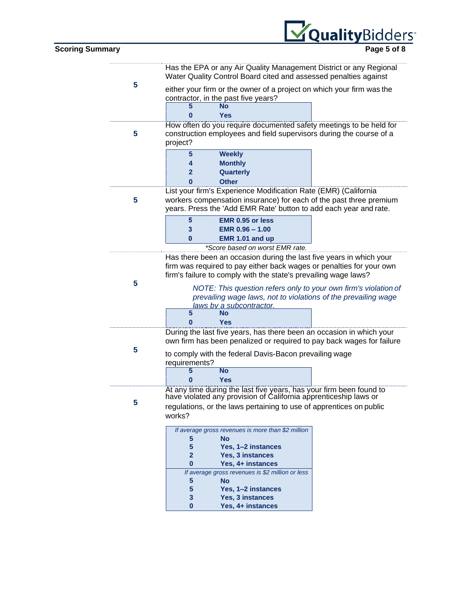

|   |                                                                                                                                         | Has the EPA or any Air Quality Management District or any Regional<br>Water Quality Control Board cited and assessed penalties against    |  |
|---|-----------------------------------------------------------------------------------------------------------------------------------------|-------------------------------------------------------------------------------------------------------------------------------------------|--|
| 5 |                                                                                                                                         | either your firm or the owner of a project on which your firm was the<br>contractor, in the past five years?                              |  |
|   |                                                                                                                                         | No                                                                                                                                        |  |
|   | Ω                                                                                                                                       | <b>Yes</b>                                                                                                                                |  |
| 5 |                                                                                                                                         | How often do you require documented safety meetings to be held for<br>construction employees and field supervisors during the course of a |  |
|   | project?                                                                                                                                |                                                                                                                                           |  |
|   | 5                                                                                                                                       | <b>Weekly</b>                                                                                                                             |  |
|   | 4                                                                                                                                       | <b>Monthly</b>                                                                                                                            |  |
|   | $\mathbf{2}$                                                                                                                            | Quarterly                                                                                                                                 |  |
|   |                                                                                                                                         | <b>Other</b>                                                                                                                              |  |
|   |                                                                                                                                         | List your firm's Experience Modification Rate (EMR) (California                                                                           |  |
| 5 |                                                                                                                                         | workers compensation insurance) for each of the past three premium                                                                        |  |
|   |                                                                                                                                         | years. Press the 'Add EMR Rate' button to add each year and rate.                                                                         |  |
|   | 5                                                                                                                                       | EMR 0.95 or less                                                                                                                          |  |
|   | 3                                                                                                                                       | EMR $0.96 - 1.00$                                                                                                                         |  |
|   | 0                                                                                                                                       | EMR 1.01 and up                                                                                                                           |  |
|   |                                                                                                                                         | *Score based on worst EMR rate.                                                                                                           |  |
|   | Has there been an occasion during the last five years in which your                                                                     |                                                                                                                                           |  |
|   | firm was required to pay either back wages or penalties for your own<br>firm's failure to comply with the state's prevailing wage laws? |                                                                                                                                           |  |
| 5 |                                                                                                                                         |                                                                                                                                           |  |
|   | NOTE: This question refers only to your own firm's violation of                                                                         |                                                                                                                                           |  |
|   | prevailing wage laws, not to violations of the prevailing wage<br><u>laws bv a subcontractor.</u>                                       |                                                                                                                                           |  |
|   | 5                                                                                                                                       | <b>No</b>                                                                                                                                 |  |
|   | ი                                                                                                                                       | <b>Yes</b>                                                                                                                                |  |
|   |                                                                                                                                         | During the last five years, has there been an occasion in which your                                                                      |  |
|   |                                                                                                                                         | own firm has been penalized or required to pay back wages for failure                                                                     |  |
| 5 |                                                                                                                                         | to comply with the federal Davis-Bacon prevailing wage                                                                                    |  |
|   | requirements?                                                                                                                           |                                                                                                                                           |  |
|   | 5                                                                                                                                       | <b>No</b>                                                                                                                                 |  |
|   |                                                                                                                                         | <b>Yes</b>                                                                                                                                |  |
|   |                                                                                                                                         | At any time during the last five years, has your firm been found to<br>have violated any provision of California apprenticeship laws or   |  |
| 5 |                                                                                                                                         | regulations, or the laws pertaining to use of apprentices on public                                                                       |  |
|   | works?                                                                                                                                  |                                                                                                                                           |  |
|   |                                                                                                                                         | If average gross revenues is more than \$2 million                                                                                        |  |
|   | 5                                                                                                                                       | No                                                                                                                                        |  |
|   | 5                                                                                                                                       | Yes, 1-2 instances                                                                                                                        |  |
|   | $\overline{\mathbf{2}}$                                                                                                                 | Yes, 3 instances                                                                                                                          |  |
|   | 0                                                                                                                                       | Yes, 4+ instances                                                                                                                         |  |
|   |                                                                                                                                         | If average gross revenues is \$2 million or less                                                                                          |  |
|   | 5<br>5                                                                                                                                  | <b>No</b><br>Yes, 1-2 instances                                                                                                           |  |
|   |                                                                                                                                         |                                                                                                                                           |  |

**3 Yes, 3 instances 0 Yes, 4+ instances**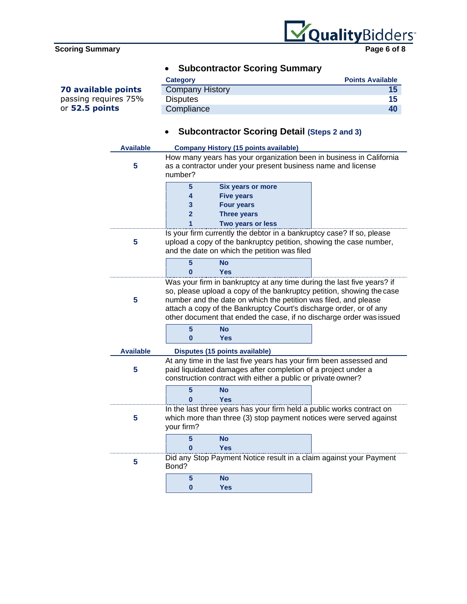**70 available points** passing requires 75% or **52.5 points**



| <b>Category</b>        | <b>Points Available</b> |
|------------------------|-------------------------|
| <b>Company History</b> |                         |
| <b>Disputes</b>        | 15                      |
| Compliance             | 40                      |

# • **Subcontractor Scoring Detail (Steps 2 and 3)**

| <b>Available</b> |                                                                                                                                                                                                                                                                                                                                                                  | <b>Company History (15 points available)</b>                                                                                                                                                        |  |
|------------------|------------------------------------------------------------------------------------------------------------------------------------------------------------------------------------------------------------------------------------------------------------------------------------------------------------------------------------------------------------------|-----------------------------------------------------------------------------------------------------------------------------------------------------------------------------------------------------|--|
| 5                | number?                                                                                                                                                                                                                                                                                                                                                          | How many years has your organization been in business in California<br>as a contractor under your present business name and license                                                                 |  |
|                  | 5                                                                                                                                                                                                                                                                                                                                                                | <b>Six years or more</b>                                                                                                                                                                            |  |
|                  | 4                                                                                                                                                                                                                                                                                                                                                                | <b>Five years</b>                                                                                                                                                                                   |  |
|                  | 3                                                                                                                                                                                                                                                                                                                                                                | <b>Four years</b>                                                                                                                                                                                   |  |
|                  | $\overline{2}$                                                                                                                                                                                                                                                                                                                                                   | <b>Three years</b>                                                                                                                                                                                  |  |
|                  |                                                                                                                                                                                                                                                                                                                                                                  | Two years or less                                                                                                                                                                                   |  |
| 5                |                                                                                                                                                                                                                                                                                                                                                                  | Is your firm currently the debtor in a bankruptcy case? If so, please<br>upload a copy of the bankruptcy petition, showing the case number,<br>and the date on which the petition was filed         |  |
|                  | 5<br>0                                                                                                                                                                                                                                                                                                                                                           | <b>No</b><br>Yes                                                                                                                                                                                    |  |
| 5                | Was your firm in bankruptcy at any time during the last five years? if<br>so, please upload a copy of the bankruptcy petition, showing the case<br>number and the date on which the petition was filed, and please<br>attach a copy of the Bankruptcy Court's discharge order, or of any<br>other document that ended the case, if no discharge order was issued |                                                                                                                                                                                                     |  |
|                  | $5\phantom{1}$<br>$\bf{0}$                                                                                                                                                                                                                                                                                                                                       | <b>No</b><br><b>Yes</b>                                                                                                                                                                             |  |
| <b>Available</b> |                                                                                                                                                                                                                                                                                                                                                                  | Disputes (15 points available)                                                                                                                                                                      |  |
| 5                |                                                                                                                                                                                                                                                                                                                                                                  | At any time in the last five years has your firm been assessed and<br>paid liquidated damages after completion of a project under a<br>construction contract with either a public or private owner? |  |
|                  | 5<br>Ω                                                                                                                                                                                                                                                                                                                                                           | <b>No</b><br><b>Yes</b>                                                                                                                                                                             |  |
| 5                | your firm?                                                                                                                                                                                                                                                                                                                                                       | In the last three years has your firm held a public works contract on<br>which more than three (3) stop payment notices were served against                                                         |  |
|                  | 5<br>O                                                                                                                                                                                                                                                                                                                                                           | <b>No</b><br><b>Yes</b>                                                                                                                                                                             |  |
| 5                | Bond?                                                                                                                                                                                                                                                                                                                                                            | Did any Stop Payment Notice result in a claim against your Payment                                                                                                                                  |  |
|                  | $5\phantom{1}$                                                                                                                                                                                                                                                                                                                                                   | <b>No</b>                                                                                                                                                                                           |  |
|                  | 0                                                                                                                                                                                                                                                                                                                                                                | <b>Yes</b>                                                                                                                                                                                          |  |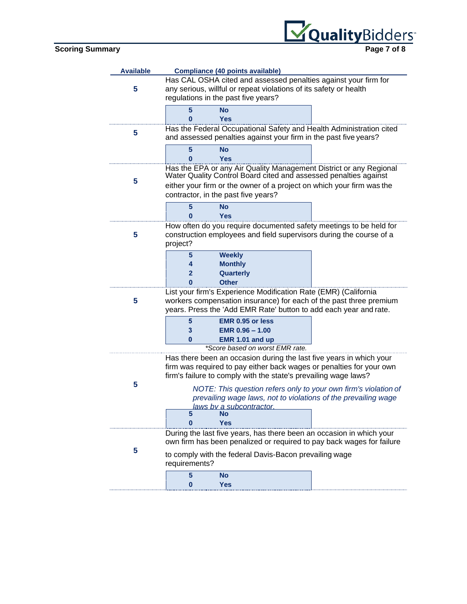

| <b>Available</b> | <b>Compliance (40 points available)</b>                                                                                                               |                                                                                                                                                                                                                                                     |  |
|------------------|-------------------------------------------------------------------------------------------------------------------------------------------------------|-----------------------------------------------------------------------------------------------------------------------------------------------------------------------------------------------------------------------------------------------------|--|
| 5                |                                                                                                                                                       | Has CAL OSHA cited and assessed penalties against your firm for<br>any serious, willful or repeat violations of its safety or health<br>regulations in the past five years?                                                                         |  |
|                  | 5<br>U                                                                                                                                                | <b>No</b><br>Yes                                                                                                                                                                                                                                    |  |
| 5                |                                                                                                                                                       | Has the Federal Occupational Safety and Health Administration cited<br>and assessed penalties against your firm in the past five years?                                                                                                             |  |
|                  | 5<br>ი                                                                                                                                                | <b>No</b><br><b>Yes</b>                                                                                                                                                                                                                             |  |
| 5                |                                                                                                                                                       | Has the EPA or any Air Quality Management District or any Regional Water Quality Control Board cited and assessed penalties against<br>either your firm or the owner of a project on which your firm was the<br>contractor, in the past five years? |  |
|                  | 5<br>0                                                                                                                                                | No<br><b>Yes</b>                                                                                                                                                                                                                                    |  |
| 5                | How often do you require documented safety meetings to be held for<br>construction employees and field supervisors during the course of a<br>project? |                                                                                                                                                                                                                                                     |  |
|                  | 5<br>4<br>2<br>0                                                                                                                                      | <b>Weekly</b><br><b>Monthly</b><br>Quarterly<br><b>Other</b>                                                                                                                                                                                        |  |
| 5                |                                                                                                                                                       | List your firm's Experience Modification Rate (EMR) (California<br>workers compensation insurance) for each of the past three premium<br>years. Press the 'Add EMR Rate' button to add each year and rate.                                          |  |
|                  | 5<br>3<br>0                                                                                                                                           | <b>EMR 0.95 or less</b><br>$EMR$ 0.96 $-$ 1.00<br>EMR 1.01 and up<br>*Score based on worst EMR rate.                                                                                                                                                |  |
|                  |                                                                                                                                                       | Has there been an occasion during the last five years in which your<br>firm was required to pay either back wages or penalties for your own<br>firm's failure to comply with the state's prevailing wage laws?                                      |  |
| 5                | 5                                                                                                                                                     | NOTE: This question refers only to your own firm's violation of<br>prevailing wage laws, not to violations of the prevailing wage<br>laws hy a subcontractor<br>No                                                                                  |  |
|                  |                                                                                                                                                       | Yes<br>During the last five years, has there been an occasion in which your<br>own firm has been penalized or required to pay back wages for failure                                                                                                |  |
| 5                | requirements?                                                                                                                                         | to comply with the federal Davis-Bacon prevailing wage                                                                                                                                                                                              |  |
|                  | 5<br>0                                                                                                                                                | <b>No</b><br><b>Yes</b>                                                                                                                                                                                                                             |  |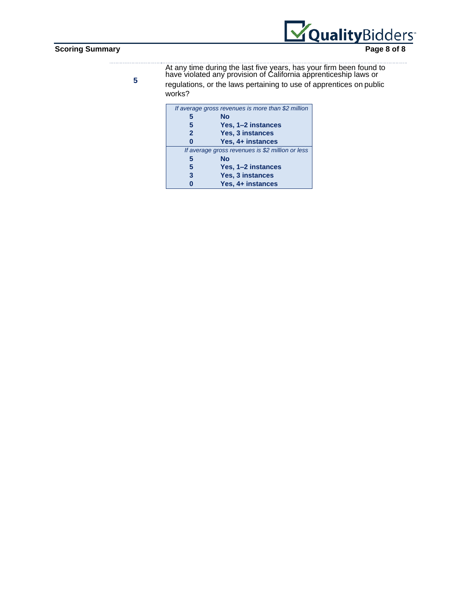$\pm 1\pm 1$ 



**5**

At any time during the last five years, has your firm been found to have violated any provision of California apprenticeship laws or

regulations, or the laws pertaining to use of apprentices on public works?

|                | If average gross revenues is more than \$2 million |
|----------------|----------------------------------------------------|
| 5              | No                                                 |
| 5              | Yes, 1–2 instances                                 |
| $\overline{2}$ | <b>Yes, 3 instances</b>                            |
| Ω              | Yes, 4+ instances                                  |
|                | If average gross revenues is \$2 million or less   |
| 5              | No                                                 |
|                |                                                    |
| 5              | Yes, 1–2 instances                                 |
| 3              | <b>Yes, 3 instances</b>                            |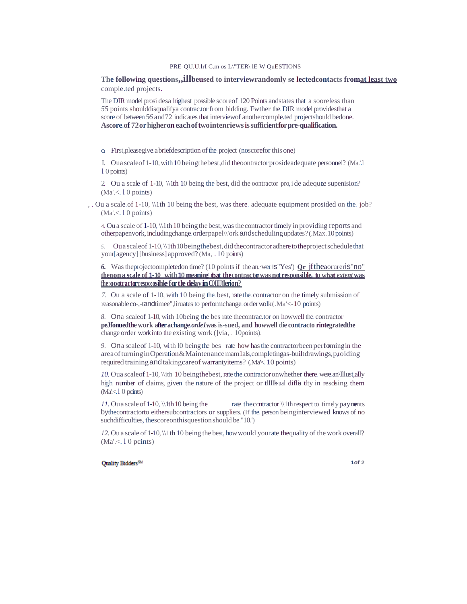### PRE-QU.U.lrI C.m os L\"TER\ lE W QuESTIONS

**The following questions,,illbeused to interviewrandomly se lectedcontacts fromat least two** comple.ted projects.

The DIR model prosi desa highest possible scoreof 120 Points andstates that a sooreless than *55* points shoulddisqualifya contrac.tor from bidding. Fwther the. DIR model providesthat a score of between *56* and72 indicates that interviewof anothercomple.ted projectshould bedone. **Ascore.of 72orhigheroneachoftwointenriewsissufficientforpre-qualification.**

o. First,pleasegive.abriefdescription ofthe.project (noscorefor thisone)

I. Oua scaleof 1-10,with10 beingthebest,did theoontractorprosideadequate personnel? (Ma.'.l l 0 points)

2. Ou a scale of 1-10,  $\ln 10$  being the best, did the contractor pro, i de adequate supenision?  $(Ma' < 10$  points)

, . Ou a scale.of 1-10, \\1th 10 being the best, was there. adequate equipment prosided on the. job?  $(Ma' < 10$  points)

4. Oua scale of 1-10, \\1th10 being thebest,wasthecontractortimely in providing reports and otherpapenvork,includingchange.orderpapel\\'orkandschedulingupdates? (.Max.10points)

5. Ou a scaleof 1-10, \\1th10 beingthebest, did the contractor adhere to the project schedule that your[agency] [business] approved? (Ma, . 10 points)

*6.* Wastheprojectoompletedon time? (10 pointsif the an.·weris"Yes') **Qr** jftheaorureris''no" **thenona scale of 1-10 with10 meaning tbat thecontractor was not responsible. to what** *extent* **was fhe:oootractorrespo;osihleforthedelayinCQIIIJ)lerion?**

*7.* Ou a scale of 1-10, with 10 being the. best, rate the. contractor on the timely submission of reasonableco-,-tandtimee",liruatesto performchange.orderwo1k (.Ma'<-10 points)

*8.* Ona scaleof 1-10, with 10being the bes rate thecontrac.tor on howwell the. contractor **peJfonuedthe work after achange.***orde1***was is-sued, and howwell die contracto rintegratedthe** change order work into the existing work (]via, . 10points).

9. On a scale of 1-10, with 10 being the bes rate how has the contractorbeen performing in the areaofturninginOperation&Maintenancemam1als,completingas-builtdrawings,p,roiding required training and taking care of warranty items? (Ma'<. 10 points)

*10.* Oua scaleof 1-10, \\ith 10 beingthebest, rate the contractor on whether there. were an\lllust,ally high number of claims, given the nature of the project or tilliantle diffia tity in resolsing them  $(Ma < 10$  pcints)

*11.* Oua scale of 1-10,  $\ln 10$  being the rate the contractor  $\ln$  respect to timely payments bythecontractorto eithersubcontractors or suppliers. (If the. person beinginterviewed knows of no suchdifficulties, thescoreonthisquestion should be."10."

*12.* Ou a scale of 1-10, \\1th 10 being the best, howwould yourate thequality of the work overall?  $(Ma' < 10$  pcints)

### Quality Bidders<sup>SM</sup>

**1of 2**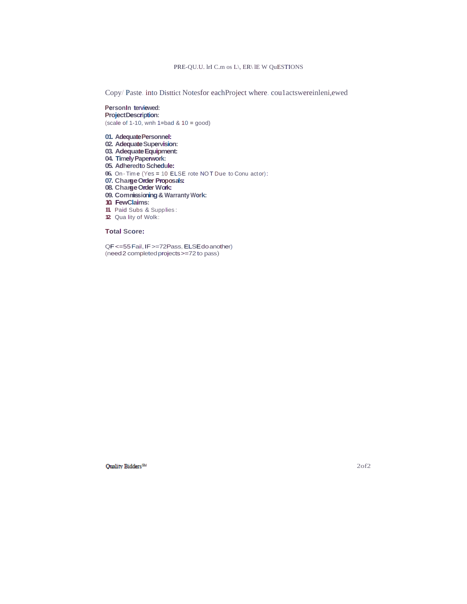### PRE-QU.U. lrI C.m os L\, ER\ lE W QuESTIONS

Copy/ Paste. into Disttict Notesfor eachProject where. cou1actswereinleni,ewed

**PersonIn terviewed: ProjectDescription:** (scale of 1-10, wnh 1=bad &  $10 = \text{good}$ )

**01. AdequatePersonnel:**

- 02. Adequate Supervision:
- **03. AdequateEquipment:**
- **04. TimelyPaperwork:**
- **05. Adheredto Schedule:**
- **06.** On · Tim e (Yes = 10 ELSE rote NO T Due to Conu actor):
- **07. ChangeOrder Proposals:**
- **08. ChangeOrder Work:**
- **09. Commissioning& Warranty Work:**
- **10. FewClaims:**
- **11.** Paid Subs & Supplies :
- **12.** Qua lity of Wolk:

### **Total Score:**

QF <= 55 Fail, IF >=72Pass, ELSE do another) (need2 completedprojects>=72 to pass)

Quality Bidders<sup>SM</sup>

2of2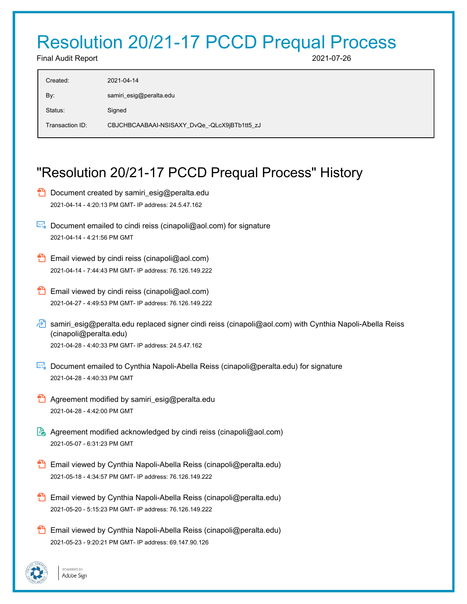# Resolution 20/21-17 PCCD Prequal Process

Final Audit Report 2021-07-26

| Created:        | 2021-04-14                                   |
|-----------------|----------------------------------------------|
| By:             | samiri_esig@peralta.edu                      |
| Status:         | Signed                                       |
| Transaction ID: | CBJCHBCAABAAI-NSISAXY_DvQe_-QLcX9jBTb1tt5_zJ |

# "Resolution 20/21-17 PCCD Prequal Process" History

- **D** Document created by samiri\_esig@peralta.edu 2021-04-14 - 4:20:13 PM GMT- IP address: 24.5.47.162
- $\triangleright$  Document emailed to cindi reiss (cinapoli@aol.com) for signature 2021-04-14 - 4:21:56 PM GMT
- **Email viewed by cindi reiss (cinapoli@aol.com)** 2021-04-14 - 7:44:43 PM GMT- IP address: 76.126.149.222
- **Email viewed by cindi reiss (cinapoli@aol.com)** 2021-04-27 - 4:49:53 PM GMT- IP address: 76.126.149.222
- samiri\_esig@peralta.edu replaced signer cindi reiss (cinapoli@aol.com) with Cynthia Napoli-Abella Reiss (cinapoli@peralta.edu) 2021-04-28 - 4:40:33 PM GMT- IP address: 24.5.47.162
- Document emailed to Cynthia Napoli-Abella Reiss (cinapoli@peralta.edu) for signature 2021-04-28 - 4:40:33 PM GMT
- **Agreement modified by samiri\_esig@peralta.edu** 2021-04-28 - 4:42:00 PM GMT
- Agreement modified acknowledged by cindi reiss (cinapoli@aol.com) 2021-05-07 - 6:31:23 PM GMT
- **B** Email viewed by Cynthia Napoli-Abella Reiss (cinapoli@peralta.edu) 2021-05-18 - 4:34:57 PM GMT- IP address: 76.126.149.222
- Email viewed by Cynthia Napoli-Abella Reiss (cinapoli@peralta.edu) 2021-05-20 - 5:15:23 PM GMT- IP address: 76.126.149.222
- **B** Email viewed by Cynthia Napoli-Abella Reiss (cinapoli@peralta.edu) 2021-05-23 - 9:20:21 PM GMT- IP address: 69.147.90.126